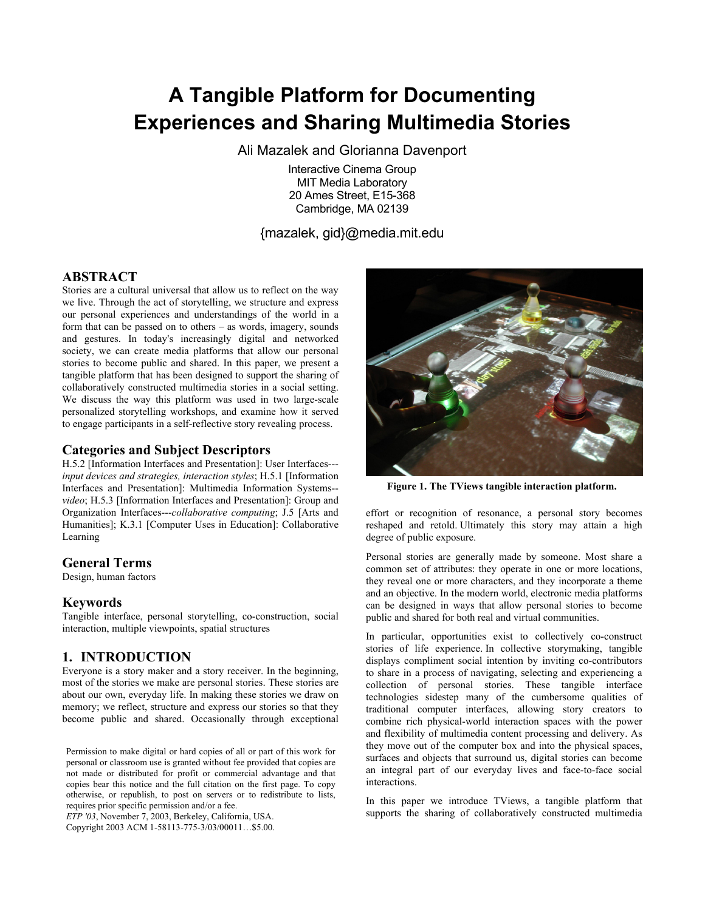# **A Tangible Platform for Documenting Experiences and Sharing Multimedia Stories**

Ali Mazalek and Glorianna Davenport

Interactive Cinema Group MIT Media Laboratory 20 Ames Street, E15-368 Cambridge, MA 02139

# {mazalek, gid}@media.mit.edu

## **ABSTRACT**

Stories are a cultural universal that allow us to reflect on the way we live. Through the act of storytelling, we structure and express our personal experiences and understandings of the world in a form that can be passed on to others – as words, imagery, sounds and gestures. In today's increasingly digital and networked society, we can create media platforms that allow our personal stories to become public and shared. In this paper, we present a tangible platform that has been designed to support the sharing of collaboratively constructed multimedia stories in a social setting. We discuss the way this platform was used in two large-scale personalized storytelling workshops, and examine how it served to engage participants in a self-reflective story revealing process.

#### **Categories and Subject Descriptors**

H.5.2 [Information Interfaces and Presentation]: User Interfaces-- *input devices and strategies, interaction styles*; H.5.1 [Information Interfaces and Presentation]: Multimedia Information Systems- *video*; H.5.3 [Information Interfaces and Presentation]: Group and Organization Interfaces---*collaborative computing*; J.5 [Arts and Humanities]; K.3.1 [Computer Uses in Education]: Collaborative Learning

#### **General Terms**

Design, human factors

#### **Keywords**

Tangible interface, personal storytelling, co-construction, social interaction, multiple viewpoints, spatial structures

# **1. INTRODUCTION**

Everyone is a story maker and a story receiver. In the beginning, most of the stories we make are personal stories. These stories are about our own, everyday life. In making these stories we draw on memory; we reflect, structure and express our stories so that they become public and shared. Occasionally through exceptional

Permission to make digital or hard copies of all or part of this work for personal or classroom use is granted without fee provided that copies are not made or distributed for profit or commercial advantage and that copies bear this notice and the full citation on the first page. To copy otherwise, or republish, to post on servers or to redistribute to lists, requires prior specific permission and/or a fee.

*ETP '03*, November 7, 2003, Berkeley, California, USA. Copyright 2003 ACM 1-58113-775-3/03/00011…\$5.00.

**Figure 1. The TViews tangible interaction platform.** 

effort or recognition of resonance, a personal story becomes reshaped and retold. Ultimately this story may attain a high degree of public exposure.

Personal stories are generally made by someone. Most share a common set of attributes: they operate in one or more locations, they reveal one or more characters, and they incorporate a theme and an objective. In the modern world, electronic media platforms can be designed in ways that allow personal stories to become public and shared for both real and virtual communities.

In particular, opportunities exist to collectively co-construct stories of life experience. In collective storymaking, tangible displays compliment social intention by inviting co-contributors to share in a process of navigating, selecting and experiencing a collection of personal stories. These tangible interface technologies sidestep many of the cumbersome qualities of traditional computer interfaces, allowing story creators to combine rich physical-world interaction spaces with the power and flexibility of multimedia content processing and delivery. As they move out of the computer box and into the physical spaces, surfaces and objects that surround us, digital stories can become an integral part of our everyday lives and face-to-face social interactions.

In this paper we introduce TViews, a tangible platform that supports the sharing of collaboratively constructed multimedia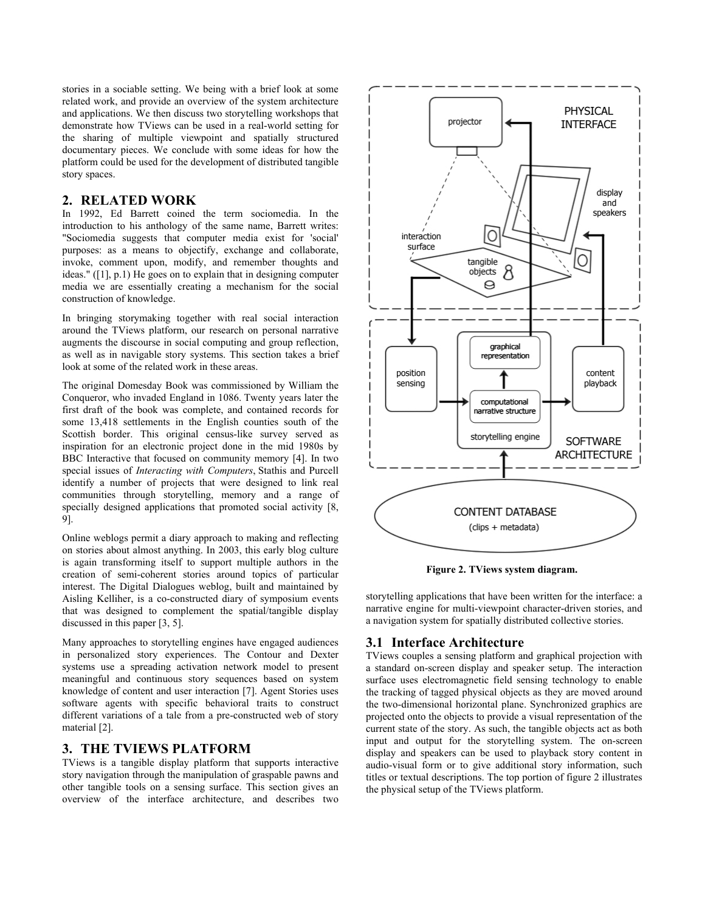stories in a sociable setting. We being with a brief look at some related work, and provide an overview of the system architecture and applications. We then discuss two storytelling workshops that demonstrate how TViews can be used in a real-world setting for the sharing of multiple viewpoint and spatially structured documentary pieces. We conclude with some ideas for how the platform could be used for the development of distributed tangible story spaces.

## **2. RELATED WORK**

In 1992, Ed Barrett coined the term sociomedia. In the introduction to his anthology of the same name, Barrett writes: "Sociomedia suggests that computer media exist for 'social' purposes: as a means to objectify, exchange and collaborate, invoke, comment upon, modify, and remember thoughts and ideas." ([1], p.1) He goes on to explain that in designing computer media we are essentially creating a mechanism for the social construction of knowledge.

In bringing storymaking together with real social interaction around the TViews platform, our research on personal narrative augments the discourse in social computing and group reflection, as well as in navigable story systems. This section takes a brief look at some of the related work in these areas.

The original Domesday Book was commissioned by William the Conqueror, who invaded England in 1086. Twenty years later the first draft of the book was complete, and contained records for some 13,418 settlements in the English counties south of the Scottish border. This original census-like survey served as inspiration for an electronic project done in the mid 1980s by BBC Interactive that focused on community memory [4]. In two special issues of *Interacting with Computers*, Stathis and Purcell identify a number of projects that were designed to link real communities through storytelling, memory and a range of specially designed applications that promoted social activity [8, 9].

Online weblogs permit a diary approach to making and reflecting on stories about almost anything. In 2003, this early blog culture is again transforming itself to support multiple authors in the creation of semi-coherent stories around topics of particular interest. The Digital Dialogues weblog, built and maintained by Aisling Kelliher, is a co-constructed diary of symposium events that was designed to complement the spatial/tangible display discussed in this paper [3, 5].

Many approaches to storytelling engines have engaged audiences in personalized story experiences. The Contour and Dexter systems use a spreading activation network model to present meaningful and continuous story sequences based on system knowledge of content and user interaction [7]. Agent Stories uses software agents with specific behavioral traits to construct different variations of a tale from a pre-constructed web of story material [2].

#### **3. THE TVIEWS PLATFORM**

TViews is a tangible display platform that supports interactive story navigation through the manipulation of graspable pawns and other tangible tools on a sensing surface. This section gives an overview of the interface architecture, and describes two



**Figure 2. TViews system diagram.** 

storytelling applications that have been written for the interface: a narrative engine for multi-viewpoint character-driven stories, and a navigation system for spatially distributed collective stories.

#### **3.1 Interface Architecture**

TViews couples a sensing platform and graphical projection with a standard on-screen display and speaker setup. The interaction surface uses electromagnetic field sensing technology to enable the tracking of tagged physical objects as they are moved around the two-dimensional horizontal plane. Synchronized graphics are projected onto the objects to provide a visual representation of the current state of the story. As such, the tangible objects act as both input and output for the storytelling system. The on-screen display and speakers can be used to playback story content in audio-visual form or to give additional story information, such titles or textual descriptions. The top portion of figure 2 illustrates the physical setup of the TViews platform.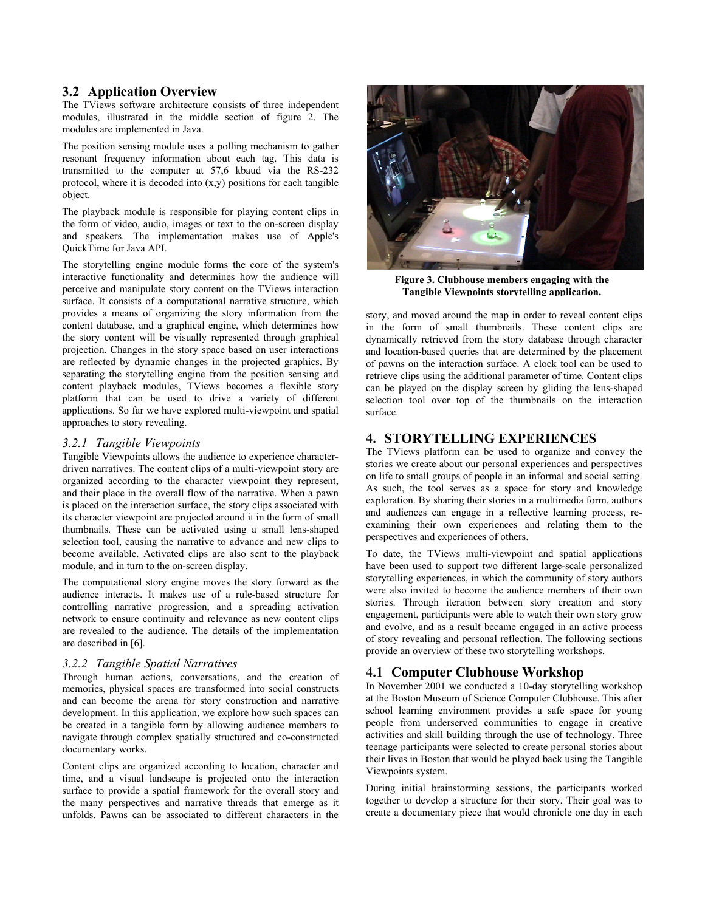#### **3.2 Application Overview**

The TViews software architecture consists of three independent modules, illustrated in the middle section of figure 2. The modules are implemented in Java.

The position sensing module uses a polling mechanism to gather resonant frequency information about each tag. This data is transmitted to the computer at 57,6 kbaud via the RS-232 protocol, where it is decoded into  $(x,y)$  positions for each tangible object.

The playback module is responsible for playing content clips in the form of video, audio, images or text to the on-screen display and speakers. The implementation makes use of Apple's QuickTime for Java API.

The storytelling engine module forms the core of the system's interactive functionality and determines how the audience will perceive and manipulate story content on the TViews interaction surface. It consists of a computational narrative structure, which provides a means of organizing the story information from the content database, and a graphical engine, which determines how the story content will be visually represented through graphical projection. Changes in the story space based on user interactions are reflected by dynamic changes in the projected graphics. By separating the storytelling engine from the position sensing and content playback modules, TViews becomes a flexible story platform that can be used to drive a variety of different applications. So far we have explored multi-viewpoint and spatial approaches to story revealing.

#### *3.2.1 Tangible Viewpoints*

Tangible Viewpoints allows the audience to experience characterdriven narratives. The content clips of a multi-viewpoint story are organized according to the character viewpoint they represent, and their place in the overall flow of the narrative. When a pawn is placed on the interaction surface, the story clips associated with its character viewpoint are projected around it in the form of small thumbnails. These can be activated using a small lens-shaped selection tool, causing the narrative to advance and new clips to become available. Activated clips are also sent to the playback module, and in turn to the on-screen display.

The computational story engine moves the story forward as the audience interacts. It makes use of a rule-based structure for controlling narrative progression, and a spreading activation network to ensure continuity and relevance as new content clips are revealed to the audience. The details of the implementation are described in [6].

#### *3.2.2 Tangible Spatial Narratives*

Through human actions, conversations, and the creation of memories, physical spaces are transformed into social constructs and can become the arena for story construction and narrative development. In this application, we explore how such spaces can be created in a tangible form by allowing audience members to navigate through complex spatially structured and co-constructed documentary works.

Content clips are organized according to location, character and time, and a visual landscape is projected onto the interaction surface to provide a spatial framework for the overall story and the many perspectives and narrative threads that emerge as it unfolds. Pawns can be associated to different characters in the



**Figure 3. Clubhouse members engaging with the Tangible Viewpoints storytelling application.**

story, and moved around the map in order to reveal content clips in the form of small thumbnails. These content clips are dynamically retrieved from the story database through character and location-based queries that are determined by the placement of pawns on the interaction surface. A clock tool can be used to retrieve clips using the additional parameter of time. Content clips can be played on the display screen by gliding the lens-shaped selection tool over top of the thumbnails on the interaction surface.

## **4. STORYTELLING EXPERIENCES**

The TViews platform can be used to organize and convey the stories we create about our personal experiences and perspectives on life to small groups of people in an informal and social setting. As such, the tool serves as a space for story and knowledge exploration. By sharing their stories in a multimedia form, authors and audiences can engage in a reflective learning process, reexamining their own experiences and relating them to the perspectives and experiences of others.

To date, the TViews multi-viewpoint and spatial applications have been used to support two different large-scale personalized storytelling experiences, in which the community of story authors were also invited to become the audience members of their own stories. Through iteration between story creation and story engagement, participants were able to watch their own story grow and evolve, and as a result became engaged in an active process of story revealing and personal reflection. The following sections provide an overview of these two storytelling workshops.

# **4.1 Computer Clubhouse Workshop**

In November 2001 we conducted a 10-day storytelling workshop at the Boston Museum of Science Computer Clubhouse. This after school learning environment provides a safe space for young people from underserved communities to engage in creative activities and skill building through the use of technology. Three teenage participants were selected to create personal stories about their lives in Boston that would be played back using the Tangible Viewpoints system.

During initial brainstorming sessions, the participants worked together to develop a structure for their story. Their goal was to create a documentary piece that would chronicle one day in each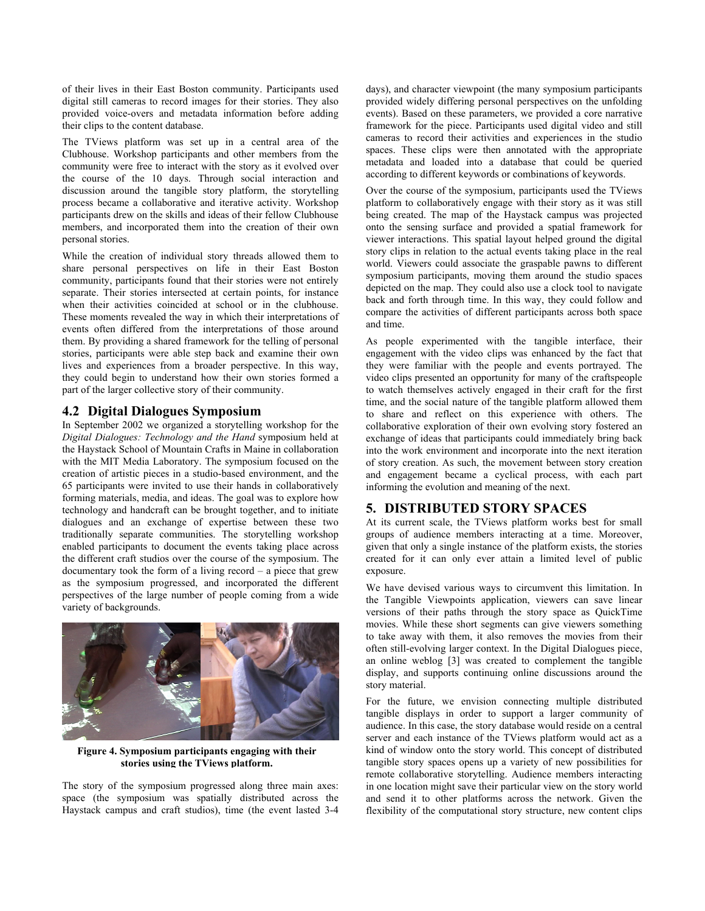of their lives in their East Boston community. Participants used digital still cameras to record images for their stories. They also provided voice-overs and metadata information before adding their clips to the content database.

The TViews platform was set up in a central area of the Clubhouse. Workshop participants and other members from the community were free to interact with the story as it evolved over the course of the 10 days. Through social interaction and discussion around the tangible story platform, the storytelling process became a collaborative and iterative activity. Workshop participants drew on the skills and ideas of their fellow Clubhouse members, and incorporated them into the creation of their own personal stories.

While the creation of individual story threads allowed them to share personal perspectives on life in their East Boston community, participants found that their stories were not entirely separate. Their stories intersected at certain points, for instance when their activities coincided at school or in the clubhouse. These moments revealed the way in which their interpretations of events often differed from the interpretations of those around them. By providing a shared framework for the telling of personal stories, participants were able step back and examine their own lives and experiences from a broader perspective. In this way, they could begin to understand how their own stories formed a part of the larger collective story of their community.

## **4.2 Digital Dialogues Symposium**

In September 2002 we organized a storytelling workshop for the *Digital Dialogues: Technology and the Hand* symposium held at the Haystack School of Mountain Crafts in Maine in collaboration with the MIT Media Laboratory. The symposium focused on the creation of artistic pieces in a studio-based environment, and the 65 participants were invited to use their hands in collaboratively forming materials, media, and ideas. The goal was to explore how technology and handcraft can be brought together, and to initiate dialogues and an exchange of expertise between these two traditionally separate communities. The storytelling workshop enabled participants to document the events taking place across the different craft studios over the course of the symposium. The documentary took the form of a living record – a piece that grew as the symposium progressed, and incorporated the different perspectives of the large number of people coming from a wide variety of backgrounds.



**Figure 4. Symposium participants engaging with their stories using the TViews platform.** 

The story of the symposium progressed along three main axes: space (the symposium was spatially distributed across the Haystack campus and craft studios), time (the event lasted 3-4

days), and character viewpoint (the many symposium participants provided widely differing personal perspectives on the unfolding events). Based on these parameters, we provided a core narrative framework for the piece. Participants used digital video and still cameras to record their activities and experiences in the studio spaces. These clips were then annotated with the appropriate metadata and loaded into a database that could be queried according to different keywords or combinations of keywords.

Over the course of the symposium, participants used the TViews platform to collaboratively engage with their story as it was still being created. The map of the Haystack campus was projected onto the sensing surface and provided a spatial framework for viewer interactions. This spatial layout helped ground the digital story clips in relation to the actual events taking place in the real world. Viewers could associate the graspable pawns to different symposium participants, moving them around the studio spaces depicted on the map. They could also use a clock tool to navigate back and forth through time. In this way, they could follow and compare the activities of different participants across both space and time.

As people experimented with the tangible interface, their engagement with the video clips was enhanced by the fact that they were familiar with the people and events portrayed. The video clips presented an opportunity for many of the craftspeople to watch themselves actively engaged in their craft for the first time, and the social nature of the tangible platform allowed them to share and reflect on this experience with others. The collaborative exploration of their own evolving story fostered an exchange of ideas that participants could immediately bring back into the work environment and incorporate into the next iteration of story creation. As such, the movement between story creation and engagement became a cyclical process, with each part informing the evolution and meaning of the next.

# **5. DISTRIBUTED STORY SPACES**

At its current scale, the TViews platform works best for small groups of audience members interacting at a time. Moreover, given that only a single instance of the platform exists, the stories created for it can only ever attain a limited level of public exposure.

We have devised various ways to circumvent this limitation. In the Tangible Viewpoints application, viewers can save linear versions of their paths through the story space as QuickTime movies. While these short segments can give viewers something to take away with them, it also removes the movies from their often still-evolving larger context. In the Digital Dialogues piece, an online weblog [3] was created to complement the tangible display, and supports continuing online discussions around the story material.

For the future, we envision connecting multiple distributed tangible displays in order to support a larger community of audience. In this case, the story database would reside on a central server and each instance of the TViews platform would act as a kind of window onto the story world. This concept of distributed tangible story spaces opens up a variety of new possibilities for remote collaborative storytelling. Audience members interacting in one location might save their particular view on the story world and send it to other platforms across the network. Given the flexibility of the computational story structure, new content clips